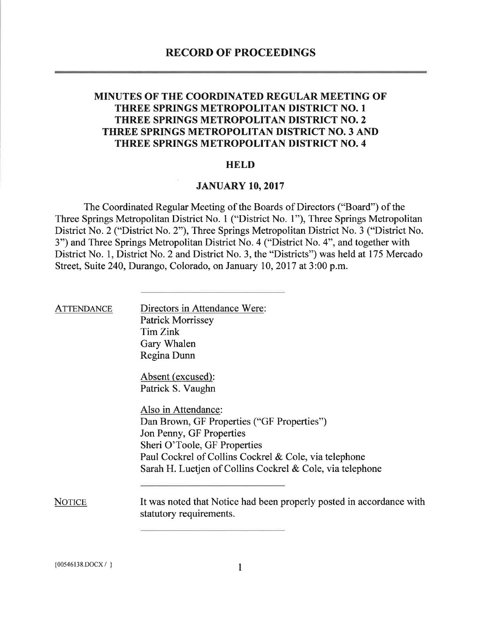### MINUTES OF THE COORDINATED REGULAR MEETING OF THREE SPRINGS METROPOLITAN DISTRICT NO. <sup>1</sup> THREE SPRINGS METROPOLITAN DISTRICT NO. 2 THREE SPRINGS METROPOLITAN DISTRICT NO. 3 AND THREE SPRINGS METROPOLITAN DISTRICT NO. 4

#### **HELD**

#### JANUARY 10, 2017

The Coordinated Regular Meeting of the Boards of Directors ("Board") of the Three Springs Metropolitan District No. <sup>1</sup> ("District No. 1"), Three Springs Metropolitan District No. 2 ("District No. 2"), Three Springs Metropolitan District No. <sup>3</sup> ("District No. 3") and Three Springs Metropolitan District No. 4 ("District No. 4", and together with District No. 1, District No. 2 and District No. 3, the "Districts") was held at 175 Mercado Street, Suite 240, Durango, Colorado, on January 10, 2017 at 3:00 p.m.

| <b>ATTENDANCE</b> | Directors in Attendance Were:<br><b>Patrick Morrissey</b><br>Tim Zink<br>Gary Whalen<br>Regina Dunn                                                                                    |
|-------------------|----------------------------------------------------------------------------------------------------------------------------------------------------------------------------------------|
|                   | Absent (excused):<br>Patrick S. Vaughn                                                                                                                                                 |
|                   | Also in Attendance:<br>Dan Brown, GF Properties ("GF Properties")<br>Jon Penny, GF Properties<br>Sheri O'Toole, GF Properties<br>Paul Cockrel of Collins Cockrel & Cole, via telephone |
|                   | Sarah H. Luetjen of Collins Cockrel & Cole, via telephone                                                                                                                              |
| <b>NOTICE</b>     | It was noted that Notice had been properly posted in accordance with<br>statutory requirements.                                                                                        |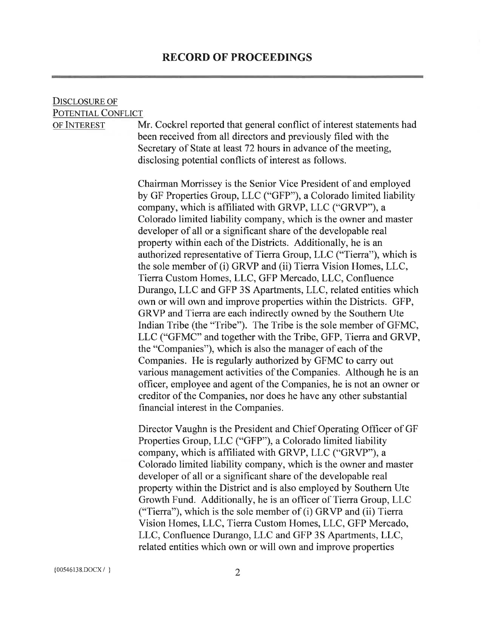### Disclosure of POTENTIAL CONFLICT

of Interest

Mr. Cockrel reported that general conflict of interest statements had been received from all directors and previously filed with the Secretary of State at least 72 hours in advance of the meeting, disclosing potential conflicts of interest as follows.

Chairman Morrissey is the Senior Vice President of and employed by GF Properties Group, LLC ("GFP"), a Colorado limited liability company, which is affiliated with GRVP, LLC ("GRVP"), a Colorado limited liability company, which is the owner and master developer of all or a significant share of the developable real property within each of the Districts. Additionally, he is an authorized representative of Tierra Group, LLC ("Tierra"), which is the sole member of (i) GRVP and (ii) Tierra Vision Homes, LLC, Tierra Custom Homes, LLC, GFP Mercado, LLC, Confluence Durango, LLC and GFP 3S Apartments, LLC, related entities which own or will own and improve properties within the Districts. GFP, GRVP and Tierra are each indirectly owned by the Southern Ute Indian Tribe (the "Tribe"). The Tribe is the sole member of GFMC, LLC ("GFMC" and together with the Tribe, GFP, Tierra and GRVP, the "Companies"), which is also the manager of each of the Companies. He is regularly authorized by GFMC to carry out various management activities of the Companies. Although he is an officer, employee and agent of the Companies, he is not an owner or creditor of the Companies, nor does he have any other substantial financial interest in the Companies.

Director Vaughn is the President and Chief Operating Officer of GF Properties Group, LLC ("GFP"), a Colorado limited liability company, which is affiliated with GRVP, LLC ("GRVP"), a Colorado limited liability company, which is the owner and master developer of all or a significant share of the developable real property within the District and is also employed by Southern Ute Growth Fund. Additionally, he is an officer of Tierra Group, LLC ("Tierra"), which is the sole member of (i) GRVP and (ii) Tierra Vision Homes, LLC, Tierra Custom Homes, LLC, GFP Mercado, LLC, Confluence Durango, LLC and GFP 3S Apartments, LLC, related entities which own or will own and improve properties

 ${00546138. \text{DOCX} / }$  2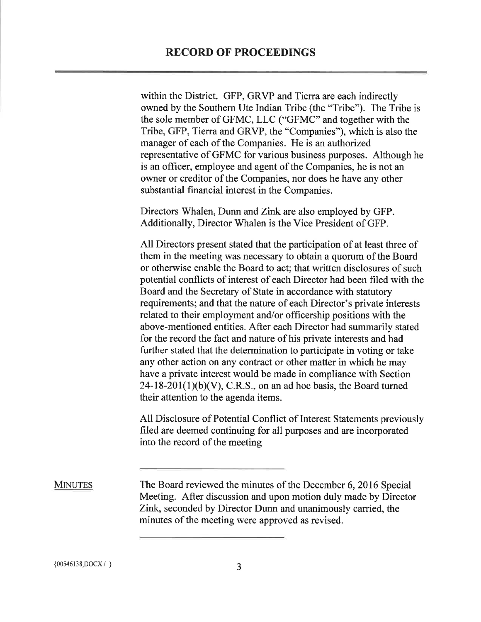within the District. GFP, GRVP and Tierra are each indirectly owned by the Southern Ute Indian Tribe (the "Tribe"). The Tribe is the sole member of GFMC, LLC ("GFMC" and together with the Tribe, GFP, Tierra and GRVP, the "Companies"), which is also the manager of each of the Companies. He is an authorized representative ofGFMC for various business purposes. Although he is an officer, employee and agent of the Companies, he is not an owner or creditor of the Companies, nor does he have any other substantial financial interest in the Companies.

Directors Whalen, Dunn and Zink are also employed by GFP. Additionally, Director Whalen is the Vice President of GFP.

All Directors present stated that the participation of at least three of them in the meeting was necessary to obtain a quorum of the Board or otherwise enable the Board to act; that written disclosures of such potential conflicts of interest of each Director had been filed with the Board and the Secretary of State in accordance with statutory requirements; and that the nature of each Director's private interests related to their employment and/or officership positions with the above-mentioned entities. After each Director had summarily stated for the record the fact and nature of his private interests and had further stated that the determination to participate in voting or take any other action on any contract or other matter in which he may have a private interest would be made in compliance with Section  $24-18-201(1)(b)(V)$ , C.R.S., on an ad hoc basis, the Board turned their attention to the agenda items.

All Disclosure of Potential Conflict of Interest Statements previously filed are deemed continuing for all purposes and are incorporated into the record of the meeting

The Board reviewed the minutes of the December 6, 2016 Special Meeting. After discussion and upon motion duly made by Director Zink, seconded by Director Dunn and unanimously carried, the minutes of the meeting were approved as revised. **MINUTES**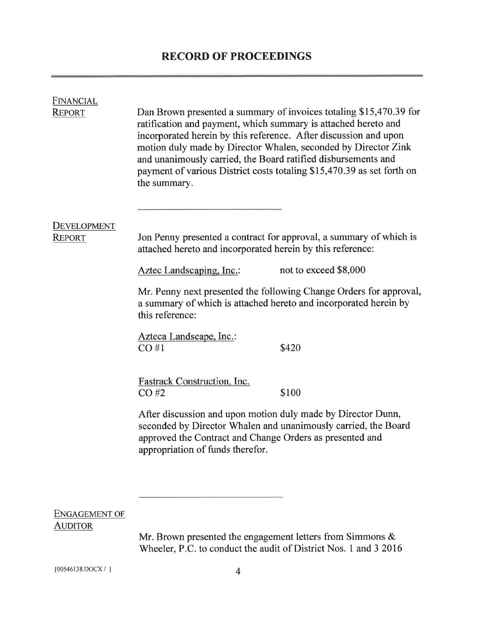| <b>FINANCIAL</b><br><b>REPORT</b>      | Dan Brown presented a summary of invoices totaling \$15,470.39 for<br>ratification and payment, which summary is attached hereto and<br>incorporated herein by this reference. After discussion and upon<br>motion duly made by Director Whalen, seconded by Director Zink<br>and unanimously carried, the Board ratified disbursements and<br>payment of various District costs totaling \$15,470.39 as set forth on<br>the summary. |                                                                    |  |
|----------------------------------------|---------------------------------------------------------------------------------------------------------------------------------------------------------------------------------------------------------------------------------------------------------------------------------------------------------------------------------------------------------------------------------------------------------------------------------------|--------------------------------------------------------------------|--|
| <b>DEVELOPMENT</b>                     |                                                                                                                                                                                                                                                                                                                                                                                                                                       |                                                                    |  |
| <b>REPORT</b>                          | Jon Penny presented a contract for approval, a summary of which is<br>attached hereto and incorporated herein by this reference:                                                                                                                                                                                                                                                                                                      |                                                                    |  |
|                                        | Aztec Landscaping, Inc.                                                                                                                                                                                                                                                                                                                                                                                                               | not to exceed \$8,000                                              |  |
|                                        | a summary of which is attached hereto and incorporated herein by<br>this reference:                                                                                                                                                                                                                                                                                                                                                   | Mr. Penny next presented the following Change Orders for approval, |  |
|                                        | Azteca Landscape, Inc.:<br>CO#1                                                                                                                                                                                                                                                                                                                                                                                                       | \$420                                                              |  |
|                                        | Fastrack Construction, Inc.<br>$CO$ #2                                                                                                                                                                                                                                                                                                                                                                                                | \$100                                                              |  |
|                                        | After discussion and upon motion duly made by Director Dunn,<br>seconded by Director Whalen and unanimously carried, the Board<br>approved the Contract and Change Orders as presented and<br>appropriation of funds therefor.                                                                                                                                                                                                        |                                                                    |  |
|                                        |                                                                                                                                                                                                                                                                                                                                                                                                                                       |                                                                    |  |
| <b>ENGAGEMENT OF</b><br><b>AUDITOR</b> |                                                                                                                                                                                                                                                                                                                                                                                                                                       |                                                                    |  |
|                                        | Mr. Brown presented the engagement letters from Simmons &<br>Wheeler, P.C. to conduct the audit of District Nos. 1 and 3 2016                                                                                                                                                                                                                                                                                                         |                                                                    |  |

 ${00546138. \text{DOCX} / }$  4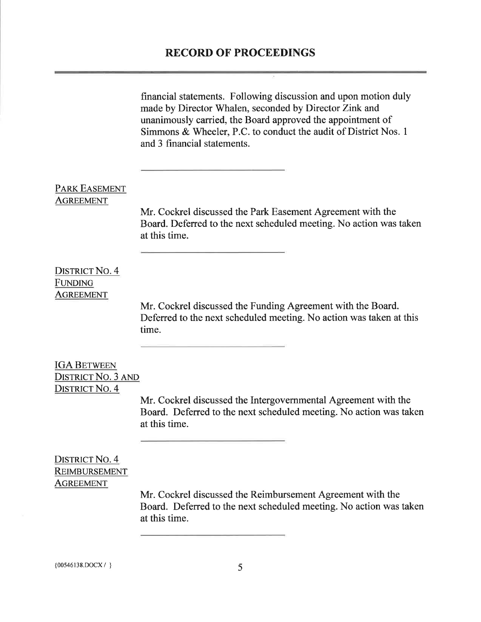$\overline{\mathcal{Z}}$ 

|                            | financial statements. Following discussion and upon motion duly<br>made by Director Whalen, seconded by Director Zink and<br>unanimously carried, the Board approved the appointment of<br>Simmons & Wheeler, P.C. to conduct the audit of District Nos. 1<br>and 3 financial statements. |
|----------------------------|-------------------------------------------------------------------------------------------------------------------------------------------------------------------------------------------------------------------------------------------------------------------------------------------|
| PARK EASEMENT<br>AGREEMENT | Mr. Cockrel discussed the Park Easement Agreement with the<br>Board. Deferred to the next scheduled meeting. No action was taken<br>at this time.                                                                                                                                         |
| <b>DISTRICT NO. 4</b>      | Mr. Cockrel discussed the Funding Agreement with the Board.                                                                                                                                                                                                                               |
| FUNDING                    | Deferred to the next scheduled meeting. No action was taken at this                                                                                                                                                                                                                       |
| AGREEMENT                  | time.                                                                                                                                                                                                                                                                                     |
| <b>IGA BETWEEN</b>         | Mr. Cockrel discussed the Intergovernmental Agreement with the                                                                                                                                                                                                                            |
| <b>DISTRICT NO. 3 AND</b>  | Board. Deferred to the next scheduled meeting. No action was taken                                                                                                                                                                                                                        |
| <b>DISTRICT NO. 4</b>      | at this time.                                                                                                                                                                                                                                                                             |
| <b>DISTRICT NO. 4</b>      | Mr. Cockrel discussed the Reimbursement Agreement with the                                                                                                                                                                                                                                |
| <b>REIMBURSEMENT</b>       | Board. Deferred to the next scheduled meeting. No action was taken                                                                                                                                                                                                                        |
| <u>AGREEMENT</u>           | at this time.                                                                                                                                                                                                                                                                             |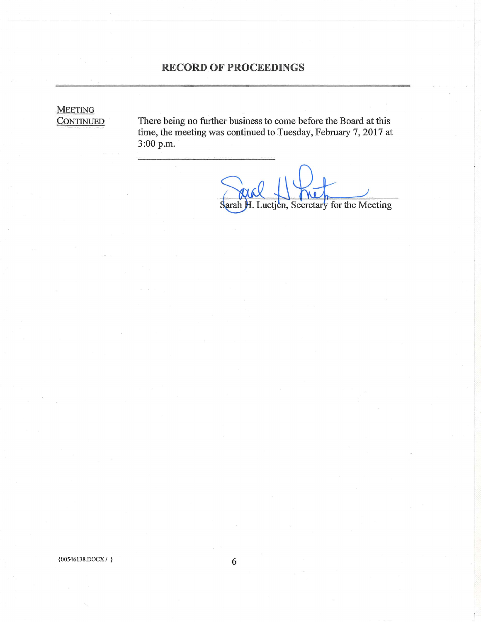**MEETING**<br>CONTINUED

There being no further business to come before the Board at this time, the meeting was continued to Tuesday, February 7, <sup>2017</sup> at 3:00 p.m.

Sarah H. Luetjen, Secretary for the Meeting

 ${00546138.DOCX}$  } 6